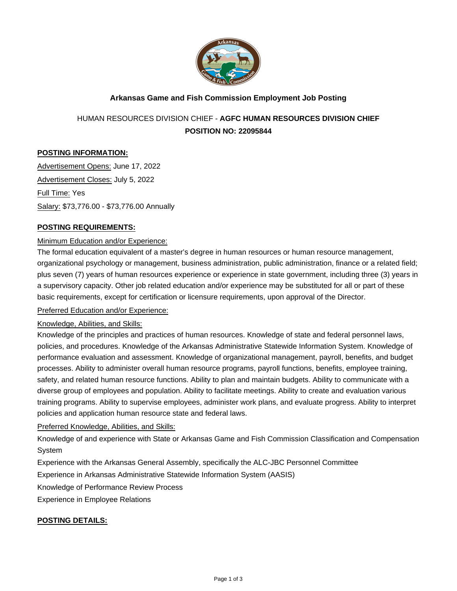

### **Arkansas Game and Fish Commission Employment Job Posting**

# HUMAN RESOURCES DIVISION CHIEF - **AGFC HUMAN RESOURCES DIVISION CHIEF POSITION NO: 22095844**

#### **POSTING INFORMATION:**

Advertisement Opens: June 17, 2022 Advertisement Closes: July 5, 2022 Full Time: Yes Salary: \$73,776.00 - \$73,776.00 Annually

#### **POSTING REQUIREMENTS:**

#### Minimum Education and/or Experience:

The formal education equivalent of a master's degree in human resources or human resource management, organizational psychology or management, business administration, public administration, finance or a related field; plus seven (7) years of human resources experience or experience in state government, including three (3) years in a supervisory capacity. Other job related education and/or experience may be substituted for all or part of these basic requirements, except for certification or licensure requirements, upon approval of the Director.

#### Preferred Education and/or Experience:

#### Knowledge, Abilities, and Skills:

Knowledge of the principles and practices of human resources. Knowledge of state and federal personnel laws, policies, and procedures. Knowledge of the Arkansas Administrative Statewide Information System. Knowledge of performance evaluation and assessment. Knowledge of organizational management, payroll, benefits, and budget processes. Ability to administer overall human resource programs, payroll functions, benefits, employee training, safety, and related human resource functions. Ability to plan and maintain budgets. Ability to communicate with a diverse group of employees and population. Ability to facilitate meetings. Ability to create and evaluation various training programs. Ability to supervise employees, administer work plans, and evaluate progress. Ability to interpret policies and application human resource state and federal laws.

#### Preferred Knowledge, Abilities, and Skills:

Knowledge of and experience with State or Arkansas Game and Fish Commission Classification and Compensation System

Experience with the Arkansas General Assembly, specifically the ALC-JBC Personnel Committee

Experience in Arkansas Administrative Statewide Information System (AASIS)

Knowledge of Performance Review Process

Experience in Employee Relations

#### **POSTING DETAILS:**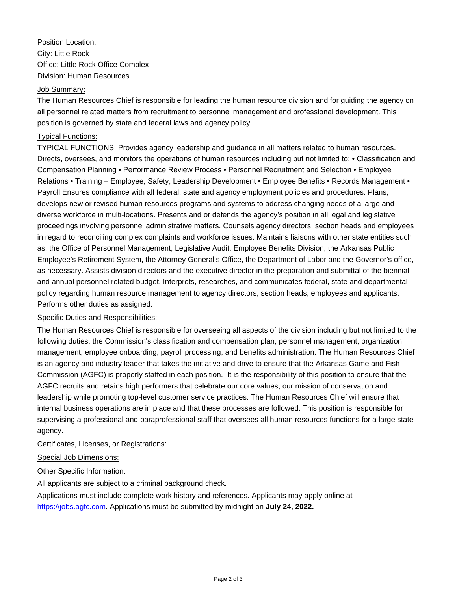## Position Location: City: Little Rock Office: Little Rock Office Complex Division: Human Resources

#### Job Summary:

The Human Resources Chief is responsible for leading the human resource division and for guiding the agency on all personnel related matters from recruitment to personnel management and professional development. This position is governed by state and federal laws and agency policy.

#### Typical Functions:

TYPICAL FUNCTIONS: Provides agency leadership and guidance in all matters related to human resources. Directs, oversees, and monitors the operations of human resources including but not limited to: • Classification and Compensation Planning • Performance Review Process • Personnel Recruitment and Selection • Employee Relations • Training – Employee, Safety, Leadership Development • Employee Benefits • Records Management • Payroll Ensures compliance with all federal, state and agency employment policies and procedures. Plans, develops new or revised human resources programs and systems to address changing needs of a large and diverse workforce in multi-locations. Presents and or defends the agency's position in all legal and legislative proceedings involving personnel administrative matters. Counsels agency directors, section heads and employees in regard to reconciling complex complaints and workforce issues. Maintains liaisons with other state entities such as: the Office of Personnel Management, Legislative Audit, Employee Benefits Division, the Arkansas Public Employee's Retirement System, the Attorney General's Office, the Department of Labor and the Governor's office, as necessary. Assists division directors and the executive director in the preparation and submittal of the biennial and annual personnel related budget. Interprets, researches, and communicates federal, state and departmental policy regarding human resource management to agency directors, section heads, employees and applicants. Performs other duties as assigned.

#### Specific Duties and Responsibilities:

The Human Resources Chief is responsible for overseeing all aspects of the division including but not limited to the following duties: the Commission's classification and compensation plan, personnel management, organization management, employee onboarding, payroll processing, and benefits administration. The Human Resources Chief is an agency and industry leader that takes the initiative and drive to ensure that the Arkansas Game and Fish Commission (AGFC) is properly staffed in each position. It is the responsibility of this position to ensure that the AGFC recruits and retains high performers that celebrate our core values, our mission of conservation and leadership while promoting top-level customer service practices. The Human Resources Chief will ensure that internal business operations are in place and that these processes are followed. This position is responsible for supervising a professional and paraprofessional staff that oversees all human resources functions for a large state agency.

Certificates, Licenses, or Registrations:

#### Special Job Dimensions:

#### Other Specific Information:

All applicants are subject to a criminal background check.

Applications must include complete work history and references. Applicants may apply online at [https://jobs.agfc.com.](https://jobs.agfc.com) Applications must be submitted by midnight on **July 24, 2022.**